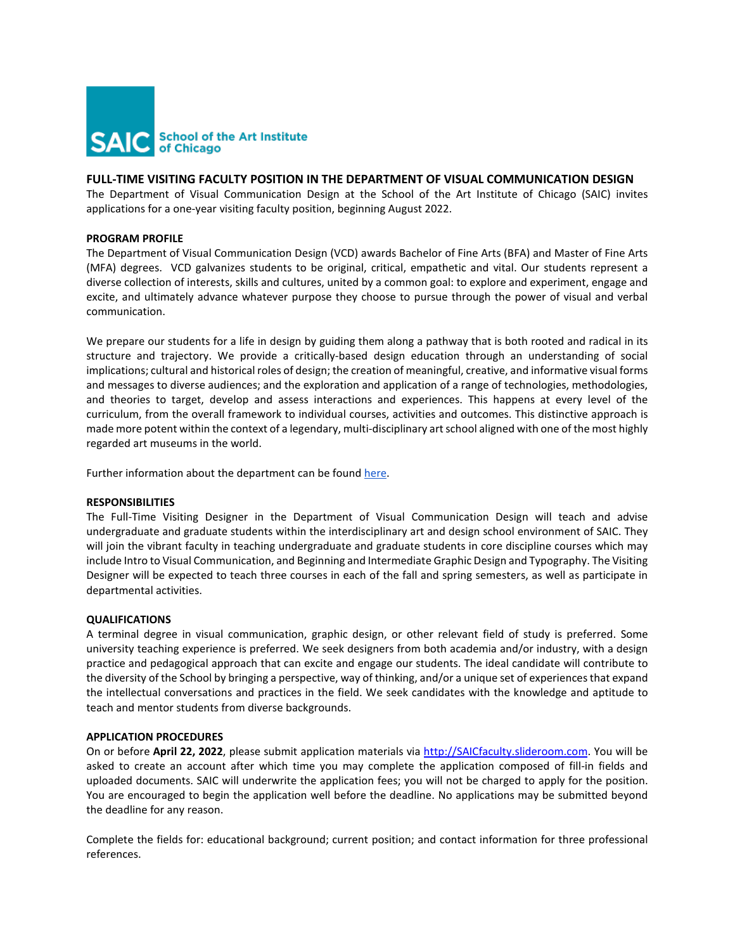

# **FULL-TIME VISITING FACULTY POSITION IN THE DEPARTMENT OF VISUAL COMMUNICATION DESIGN**

The Department of Visual Communication Design at the School of the Art Institute of Chicago (SAIC) invites applications for a one-year visiting faculty position, beginning August 2022.

## **PROGRAM PROFILE**

The Department of Visual Communication Design (VCD) awards Bachelor of Fine Arts (BFA) and Master of Fine Arts (MFA) degrees. VCD galvanizes students to be original, critical, empathetic and vital. Our students represent a diverse collection of interests, skills and cultures, united by a common goal: to explore and experiment, engage and excite, and ultimately advance whatever purpose they choose to pursue through the power of visual and verbal communication.

We prepare our students for a life in design by guiding them along a pathway that is both rooted and radical in its structure and trajectory. We provide a critically-based design education through an understanding of social implications; cultural and historical roles of design; the creation of meaningful, creative, and informative visual forms and messages to diverse audiences; and the exploration and application of a range of technologies, methodologies, and theories to target, develop and assess interactions and experiences. This happens at every level of the curriculum, from the overall framework to individual courses, activities and outcomes. This distinctive approach is made more potent within the context of a legendary, multi-disciplinary art school aligned with one of the most highly regarded art museums in the world.

Further information about the department can be foun[d here.](https://www.saic.edu/academics/departments/visual-communication-design)

#### **RESPONSIBILITIES**

The Full-Time Visiting Designer in the Department of Visual Communication Design will teach and advise undergraduate and graduate students within the interdisciplinary art and design school environment of SAIC. They will join the vibrant faculty in teaching undergraduate and graduate students in core discipline courses which may include Intro to Visual Communication, and Beginning and Intermediate Graphic Design and Typography. The Visiting Designer will be expected to teach three courses in each of the fall and spring semesters, as well as participate in departmental activities.

#### **QUALIFICATIONS**

A terminal degree in visual communication, graphic design, or other relevant field of study is preferred. Some university teaching experience is preferred. We seek designers from both academia and/or industry, with a design practice and pedagogical approach that can excite and engage our students. The ideal candidate will contribute to the diversity of the School by bringing a perspective, way of thinking, and/or a unique set of experiences that expand the intellectual conversations and practices in the field. We seek candidates with the knowledge and aptitude to teach and mentor students from diverse backgrounds.

#### **APPLICATION PROCEDURES**

On or before **April 22, 2022**, please submit application materials vi[a](http://saicfaculty.slideroom.com/) [http://SAICfaculty.slideroom.com.](http://saicfaculty.slideroom.com/) You will be asked to create an account after which time you may complete the application composed of fill-in fields and uploaded documents. SAIC will underwrite the application fees; you will not be charged to apply for the position. You are encouraged to begin the application well before the deadline. No applications may be submitted beyond the deadline for any reason.

Complete the fields for: educational background; current position; and contact information for three professional references.